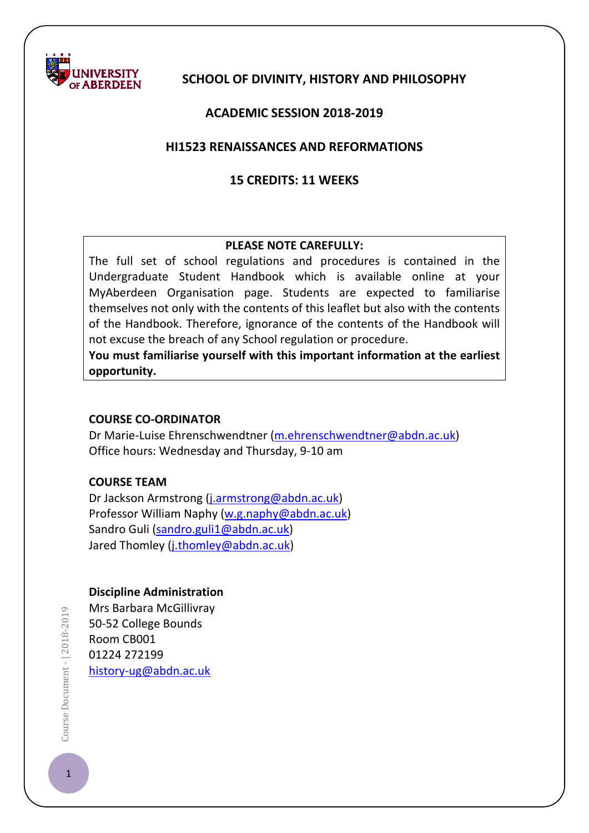

# **SCHOOL OF DIVINITY, HISTORY AND PHILOSOPHY**

#### **ACADEMIC SESSION 2018-2019**

#### **HI1523 RENAISSANCES AND REFORMATIONS**

### **15 CREDITS: 11 WEEKS**

#### **PLEASE NOTE CAREFULLY:**

The full set of school regulations and procedures is contained in the Undergraduate Student Handbook which is available online at your MyAberdeen Organisation page. Students are expected to familiarise themselves not only with the contents of this leaflet but also with the contents of the Handbook. Therefore, ignorance of the contents of the Handbook will not excuse the breach of any School regulation or procedure.

**You must familiarise yourself with this important information at the earliest opportunity.**

#### **COURSE CO-ORDINATOR**

Dr Marie-Luise Ehrenschwendtner [\(m.ehrenschwendtner@abdn.ac.uk\)](mailto:m.ehrenschwendtner@abdn.ac.uk) Office hours: Wednesday and Thursday, 9-10 am

### **COURSE TEAM**

Dr Jackson Armstrong [\(j.armstrong@abdn.ac.uk\)](mailto:j.armstrong@abdn.ac.uk) Professor William Naphy [\(w.g.naphy@abdn.ac.uk\)](mailto:w.g.naphy@abdn.ac.uk) Sandro Guli [\(sandro.guli1@abdn.ac.uk\)](mailto:sandro.guli1@abdn.ac.uk) Jared Thomley [\(j.thomley@abdn.ac.uk\)](mailto:j.thomley@abdn.ac.uk)

### **Discipline Administration**

Mrs Barbara McGillivray 50-52 College Bounds Room CB001 01224 272199 [history-ug@abdn.ac.uk](mailto:history-ug@abdn.ac.uk)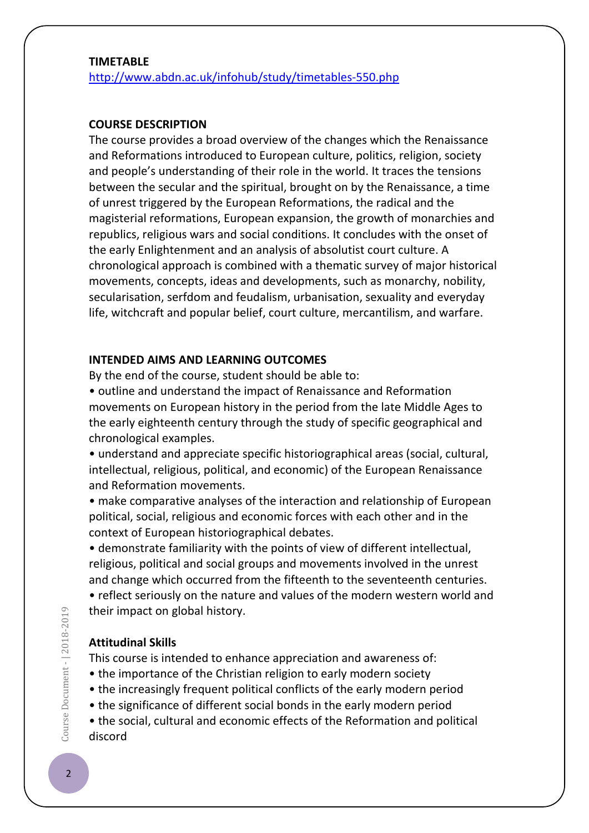#### **TIMETABLE**

<http://www.abdn.ac.uk/infohub/study/timetables-550.php>

#### **COURSE DESCRIPTION**

The course provides a broad overview of the changes which the Renaissance and Reformations introduced to European culture, politics, religion, society and people's understanding of their role in the world. It traces the tensions between the secular and the spiritual, brought on by the Renaissance, a time of unrest triggered by the European Reformations, the radical and the magisterial reformations, European expansion, the growth of monarchies and republics, religious wars and social conditions. It concludes with the onset of the early Enlightenment and an analysis of absolutist court culture. A chronological approach is combined with a thematic survey of major historical movements, concepts, ideas and developments, such as monarchy, nobility, secularisation, serfdom and feudalism, urbanisation, sexuality and everyday life, witchcraft and popular belief, court culture, mercantilism, and warfare.

#### **INTENDED AIMS AND LEARNING OUTCOMES**

By the end of the course, student should be able to:

• outline and understand the impact of Renaissance and Reformation movements on European history in the period from the late Middle Ages to the early eighteenth century through the study of specific geographical and chronological examples.

• understand and appreciate specific historiographical areas (social, cultural, intellectual, religious, political, and economic) of the European Renaissance and Reformation movements.

• make comparative analyses of the interaction and relationship of European political, social, religious and economic forces with each other and in the context of European historiographical debates.

• demonstrate familiarity with the points of view of different intellectual, religious, political and social groups and movements involved in the unrest and change which occurred from the fifteenth to the seventeenth centuries.

• reflect seriously on the nature and values of the modern western world and their impact on global history.

#### **Attitudinal Skills**

This course is intended to enhance appreciation and awareness of:

- the importance of the Christian religion to early modern society
- the increasingly frequent political conflicts of the early modern period
- the significance of different social bonds in the early modern period
- the social, cultural and economic effects of the Reformation and political discord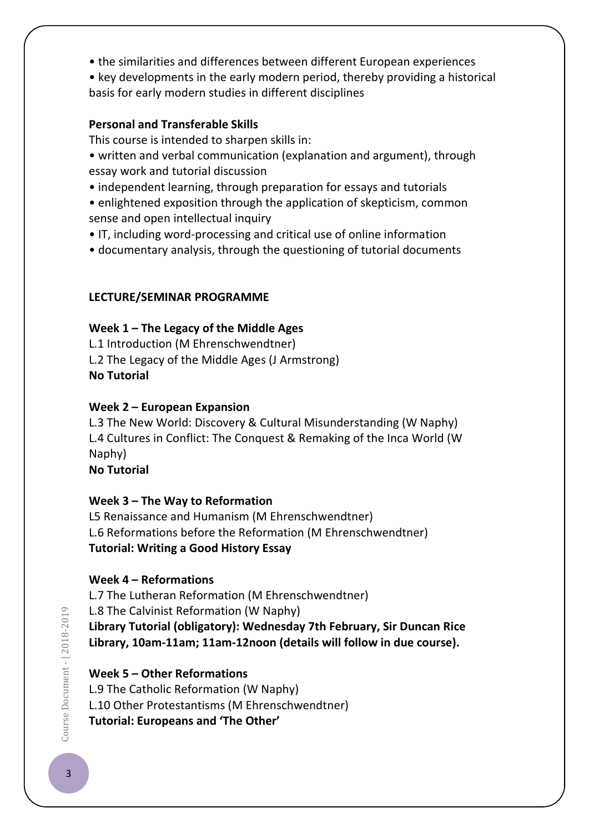• the similarities and differences between different European experiences

• key developments in the early modern period, thereby providing a historical basis for early modern studies in different disciplines

## **Personal and Transferable Skills**

This course is intended to sharpen skills in:

- written and verbal communication (explanation and argument), through essay work and tutorial discussion
- independent learning, through preparation for essays and tutorials
- enlightened exposition through the application of skepticism, common sense and open intellectual inquiry
- IT, including word-processing and critical use of online information
- documentary analysis, through the questioning of tutorial documents

# **LECTURE/SEMINAR PROGRAMME**

# **Week 1 – The Legacy of the Middle Ages**

L.1 Introduction (M Ehrenschwendtner) L.2 The Legacy of the Middle Ages (J Armstrong) **No Tutorial**

# **Week 2 – European Expansion**

L.3 The New World: Discovery & Cultural Misunderstanding (W Naphy) L.4 Cultures in Conflict: The Conquest & Remaking of the Inca World (W Naphy) **No Tutorial**

# **Week 3 – The Way to Reformation**

L5 Renaissance and Humanism (M Ehrenschwendtner) L.6 Reformations before the Reformation (M Ehrenschwendtner) **Tutorial: Writing a Good History Essay**

### **Week 4 – Reformations**

L.7 The Lutheran Reformation (M Ehrenschwendtner) L.8 The Calvinist Reformation (W Naphy) **Library Tutorial (obligatory): Wednesday 7th February, Sir Duncan Rice Library, 10am-11am; 11am-12noon (details will follow in due course).**

**Week 5 – Other Reformations** L.9 The Catholic Reformation (W Naphy) L.10 Other Protestantisms (M Ehrenschwendtner) **Tutorial: Europeans and 'The Other'**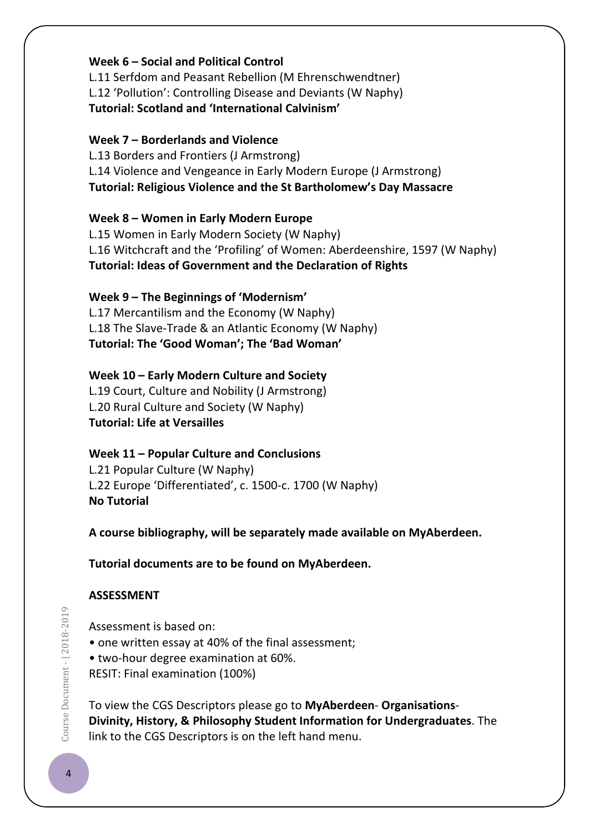## **Week 6 – Social and Political Control**

L.11 Serfdom and Peasant Rebellion (M Ehrenschwendtner) L.12 'Pollution': Controlling Disease and Deviants (W Naphy) **Tutorial: Scotland and 'International Calvinism'**

### **Week 7 – Borderlands and Violence**

L.13 Borders and Frontiers (J Armstrong) L.14 Violence and Vengeance in Early Modern Europe (J Armstrong) **Tutorial: Religious Violence and the St Bartholomew's Day Massacre**

# **Week 8 – Women in Early Modern Europe**

L.15 Women in Early Modern Society (W Naphy) L.16 Witchcraft and the 'Profiling' of Women: Aberdeenshire, 1597 (W Naphy) **Tutorial: Ideas of Government and the Declaration of Rights** 

# **Week 9 – The Beginnings of 'Modernism'**

L.17 Mercantilism and the Economy (W Naphy) L.18 The Slave-Trade & an Atlantic Economy (W Naphy) **Tutorial: The 'Good Woman'; The 'Bad Woman'**

# **Week 10 – Early Modern Culture and Society**

L.19 Court, Culture and Nobility (J Armstrong) L.20 Rural Culture and Society (W Naphy) **Tutorial: Life at Versailles**

# **Week 11 – Popular Culture and Conclusions**

L.21 Popular Culture (W Naphy) L.22 Europe 'Differentiated', c. 1500-c. 1700 (W Naphy) **No Tutorial**

**A course bibliography, will be separately made available on MyAberdeen.** 

**Tutorial documents are to be found on MyAberdeen.**

### **ASSESSMENT**

Assessment is based on:

- one written essay at 40% of the final assessment;
- two-hour degree examination at 60%.
- RESIT: Final examination (100%)

To view the CGS Descriptors please go to **MyAberdeen**- **Organisations**-**Divinity, History, & Philosophy Student Information for Undergraduates**. The link to the CGS Descriptors is on the left hand menu.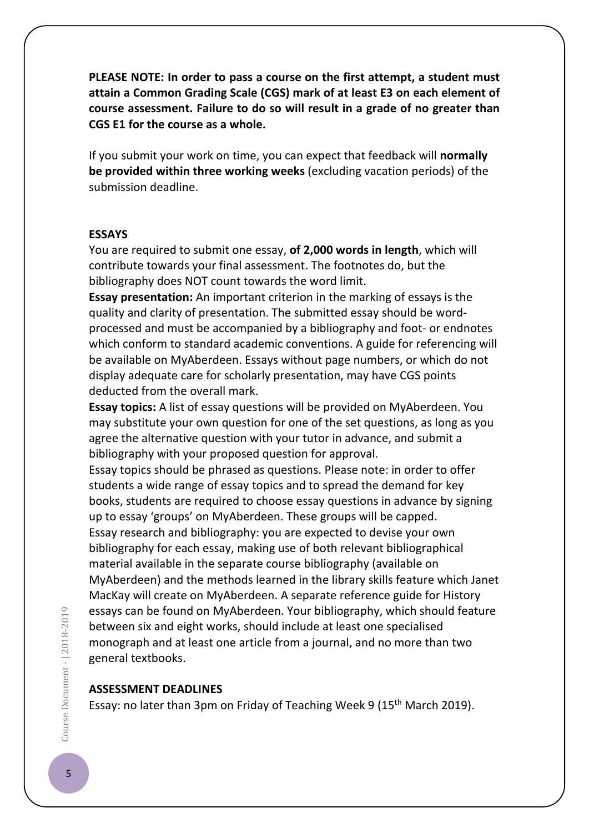**PLEASE NOTE: In order to pass a course on the first attempt, a student must attain a Common Grading Scale (CGS) mark of at least E3 on each element of course assessment. Failure to do so will result in a grade of no greater than CGS E1 for the course as a whole.**

If you submit your work on time, you can expect that feedback will **normally be provided within three working weeks** (excluding vacation periods) of the submission deadline.

#### **ESSAYS**

You are required to submit one essay, **of 2,000 words in length**, which will contribute towards your final assessment. The footnotes do, but the bibliography does NOT count towards the word limit.

**Essay presentation:** An important criterion in the marking of essays is the quality and clarity of presentation. The submitted essay should be wordprocessed and must be accompanied by a bibliography and foot- or endnotes which conform to standard academic conventions. A guide for referencing will be available on MyAberdeen. Essays without page numbers, or which do not display adequate care for scholarly presentation, may have CGS points deducted from the overall mark.

**Essay topics:** A list of essay questions will be provided on MyAberdeen. You may substitute your own question for one of the set questions, as long as you agree the alternative question with your tutor in advance, and submit a bibliography with your proposed question for approval.

Essay topics should be phrased as questions. Please note: in order to offer students a wide range of essay topics and to spread the demand for key books, students are required to choose essay questions in advance by signing up to essay 'groups' on MyAberdeen. These groups will be capped. Essay research and bibliography: you are expected to devise your own bibliography for each essay, making use of both relevant bibliographical material available in the separate course bibliography (available on MyAberdeen) and the methods learned in the library skills feature which Janet MacKay will create on MyAberdeen. A separate reference guide for History essays can be found on MyAberdeen. Your bibliography, which should feature between six and eight works, should include at least one specialised monograph and at least one article from a journal, and no more than two general textbooks.

#### **ASSESSMENT DEADLINES**

Essay: no later than 3pm on Friday of Teaching Week 9 (15<sup>th</sup> March 2019).